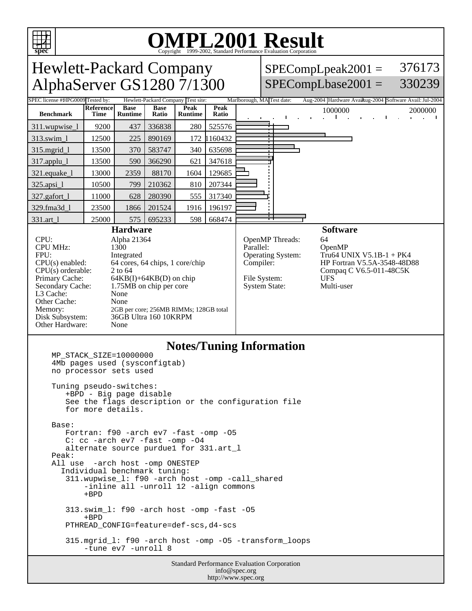

# OMPL2001 Resultation Corporation

| <b>Hewlett-Packard Company</b>                                                                                                                                                                                                                                                                                                                                                                                                                             |                                  |                             |                        |               |                                                   |        |           | 376173                                                                          |                                             |  |                  |                                 |                 |                                              |  |                                                                                                                                                                            |
|------------------------------------------------------------------------------------------------------------------------------------------------------------------------------------------------------------------------------------------------------------------------------------------------------------------------------------------------------------------------------------------------------------------------------------------------------------|----------------------------------|-----------------------------|------------------------|---------------|---------------------------------------------------|--------|-----------|---------------------------------------------------------------------------------|---------------------------------------------|--|------------------|---------------------------------|-----------------|----------------------------------------------|--|----------------------------------------------------------------------------------------------------------------------------------------------------------------------------|
| AlphaServer GS1280 7/1300                                                                                                                                                                                                                                                                                                                                                                                                                                  |                                  |                             |                        |               |                                                   |        |           |                                                                                 |                                             |  |                  |                                 |                 |                                              |  |                                                                                                                                                                            |
|                                                                                                                                                                                                                                                                                                                                                                                                                                                            |                                  |                             |                        |               |                                                   |        |           |                                                                                 |                                             |  |                  |                                 |                 |                                              |  |                                                                                                                                                                            |
| <b>Time</b>                                                                                                                                                                                                                                                                                                                                                                                                                                                | <b>Base</b><br><b>Runtime</b>    | <b>Base</b><br><b>Ratio</b> | Peak<br><b>Runtime</b> | Peak<br>Ratio |                                                   |        |           |                                                                                 |                                             |  |                  |                                 |                 |                                              |  | 2000000                                                                                                                                                                    |
| 9200                                                                                                                                                                                                                                                                                                                                                                                                                                                       | 437                              | 336838                      | 280                    | 525576        |                                                   |        |           |                                                                                 |                                             |  |                  |                                 |                 |                                              |  |                                                                                                                                                                            |
| 12500                                                                                                                                                                                                                                                                                                                                                                                                                                                      | 225                              | 890169                      |                        |               |                                                   | т<br>т |           |                                                                                 |                                             |  |                  |                                 |                 |                                              |  |                                                                                                                                                                            |
| 13500                                                                                                                                                                                                                                                                                                                                                                                                                                                      | 370                              | 583747                      | 340                    | 635698        |                                                   |        |           |                                                                                 |                                             |  |                  |                                 |                 |                                              |  |                                                                                                                                                                            |
| 13500                                                                                                                                                                                                                                                                                                                                                                                                                                                      | 590                              | 366290                      | 621                    | 347618        |                                                   |        |           |                                                                                 |                                             |  |                  |                                 |                 |                                              |  |                                                                                                                                                                            |
| 13000                                                                                                                                                                                                                                                                                                                                                                                                                                                      | 2359                             | 88170                       | 1604                   | 129685        |                                                   |        |           |                                                                                 |                                             |  |                  |                                 |                 |                                              |  |                                                                                                                                                                            |
| 10500                                                                                                                                                                                                                                                                                                                                                                                                                                                      | 799                              | 210362                      | 810                    | 207344        |                                                   |        |           |                                                                                 |                                             |  |                  |                                 |                 |                                              |  |                                                                                                                                                                            |
| 11000                                                                                                                                                                                                                                                                                                                                                                                                                                                      | 628                              | 280390                      | 555                    | 317340        |                                                   |        |           |                                                                                 |                                             |  |                  |                                 |                 |                                              |  |                                                                                                                                                                            |
| 23500                                                                                                                                                                                                                                                                                                                                                                                                                                                      | 1866                             | 201524                      | 1916                   | 196197        |                                                   |        |           |                                                                                 |                                             |  |                  |                                 |                 |                                              |  |                                                                                                                                                                            |
| 25000                                                                                                                                                                                                                                                                                                                                                                                                                                                      | 575                              | 695233                      | 598                    | 668474        |                                                   |        |           |                                                                                 |                                             |  |                  |                                 |                 |                                              |  |                                                                                                                                                                            |
| <b>Hardware</b><br>CPU:<br>Alpha 21364<br><b>CPU MHz:</b><br>1300<br>FPU:<br>Integrated<br>64 cores, 64 chips, 1 core/chip<br>$CPU(s)$ enabled:<br>$CPU(s)$ orderable:<br>2 to 64<br>Primary Cache:<br>$64KB(I) + 64KB(D)$ on chip<br>Secondary Cache:<br>1.75MB on chip per core<br>L3 Cache:<br>None<br>Other Cache:<br>None<br>Memory:<br>2GB per core; 256MB RIMMs; 128GB total<br>Disk Subsystem:<br>36GB Ultra 160 10KRPM<br>Other Hardware:<br>None |                                  |                             |                        |               |                                                   |        |           |                                                                                 |                                             |  |                  |                                 |                 |                                              |  |                                                                                                                                                                            |
|                                                                                                                                                                                                                                                                                                                                                                                                                                                            | SPEC license #HPG0009 Tested by: | Reference                   |                        |               | Hewlett-Packard Company Test site:<br>172 1160432 |        | Parallel: | Marlborough, MA Test date:<br>Compiler:<br>File System:<br><b>System State:</b> | OpenMP Threads:<br><b>Operating System:</b> |  | 64<br><b>UFS</b> | 1000000<br>OpenMP<br>Multi-user | <b>Software</b> | $SPECompLpeak2001 =$<br>$SPECompLbase2001 =$ |  | 330239<br>Aug-2004 Hardware Avaikug-2004 Software Avail: Jul-2004<br><b>Contract</b><br>Tru64 UNIX V5.1B-1 + PK4<br>HP Fortran V5.5A-3548-48D88<br>Compaq C V6.5-011-48C5K |

#### **Notes/Tuning Information**

info@spec.org http://www.spec.org

```
Standard Performance Evaluation Corporation
MP_STACK_SIZE=10000000
4Mb pages used (sysconfigtab)
no processor sets used
Tuning pseudo-switches:
   +BPD - Big page disable
   See the flags description or the configuration file
   for more details.
Base:
  Fortran: f90 -arch ev7 -fast -omp -05
   C: cc -arch ev7 -fast -omp -O4
   alternate source purdue1 for 331.art_l
Peak:
All use -arch host -omp ONESTEP
  Individual benchmark tuning:
   311.wupwise_l: f90 -arch host -omp -call_shared
       -inline all -unroll 12 -align commons
       +BPD
   313.swim_l: f90 -arch host -omp -fast -O5
       +BPD
   PTHREAD_CONFIG=feature=def-scs,d4-scs
   315.mgrid_l: f90 -arch host -omp -O5 -transform_loops
       -tune ev7 -unroll 8
```